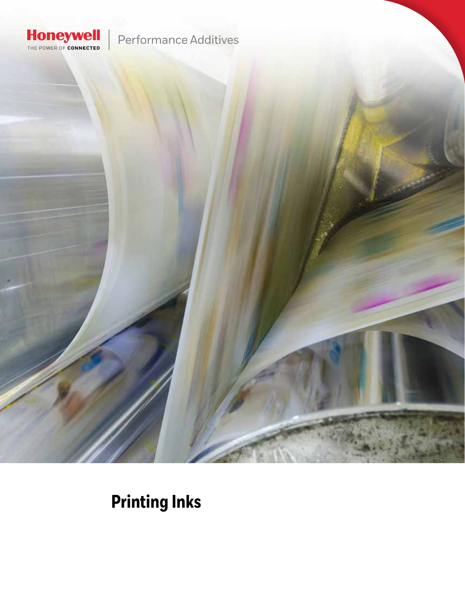

Performance Additives

**Printing Inks**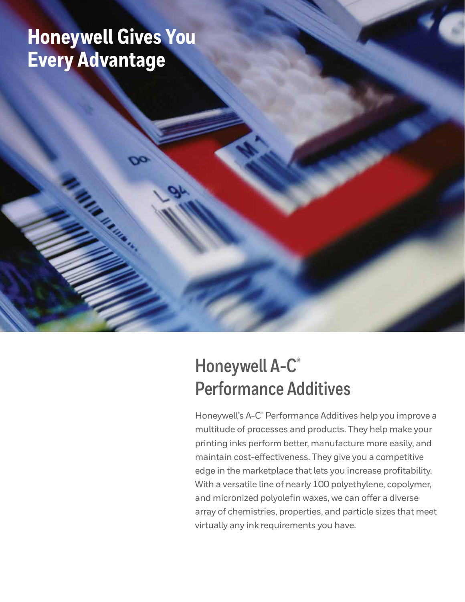# **Honeywell Gives You Every Advantage**

## **Honeywell A-C® Performance Additives**

Honeywell's A-C® Performance Additives help you improve a multitude of processes and products. They help make your printing inks perform better, manufacture more easily, and maintain cost-effectiveness. They give you a competitive edge in the marketplace that lets you increase profitability. With a versatile line of nearly 100 polyethylene, copolymer, and micronized polyolefin waxes, we can offer a diverse array of chemistries, properties, and particle sizes that meet virtually any ink requirements you have.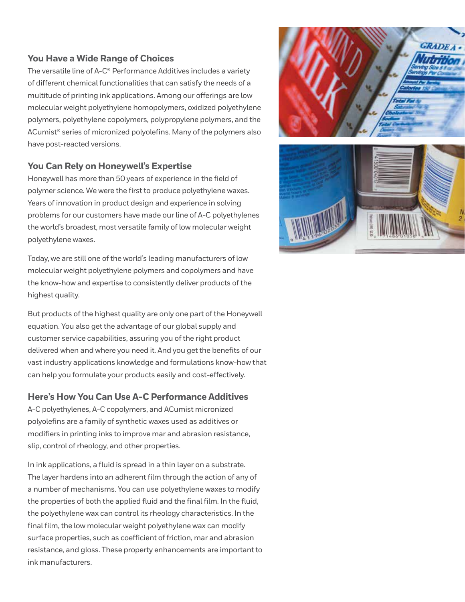### **You Have a Wide Range of Choices**

The versatile line of A-C® Performance Additives includes a variety of different chemical functionalities that can satisfy the needs of a multitude of printing ink applications. Among our offerings are low molecular weight polyethylene homopolymers, oxidized polyethylene polymers, polyethylene copolymers, polypropylene polymers, and the ACumist® series of micronized polyolefins. Many of the polymers also have post-reacted versions.

### **You Can Rely on Honeywell's Expertise**

Honeywell has more than 50 years of experience in the field of polymer science. We were the first to produce polyethylene waxes. Years of innovation in product design and experience in solving problems for our customers have made our line of A-C polyethylenes the world's broadest, most versatile family of low molecular weight polyethylene waxes.

Today, we are still one of the world's leading manufacturers of low molecular weight polyethylene polymers and copolymers and have the know-how and expertise to consistently deliver products of the highest quality.

But products of the highest quality are only one part of the Honeywell equation. You also get the advantage of our global supply and customer service capabilities, assuring you of the right product delivered when and where you need it. And you get the benefits of our vast industry applications knowledge and formulations know-how that can help you formulate your products easily and cost-effectively.

### **Here's How You Can Use A-C Performance Additives**

A-C polyethylenes, A-C copolymers, and ACumist micronized polyolefins are a family of synthetic waxes used as additives or modifiers in printing inks to improve mar and abrasion resistance, slip, control of rheology, and other properties.

In ink applications, a fluid is spread in a thin layer on a substrate. The layer hardens into an adherent film through the action of any of a number of mechanisms. You can use polyethylene waxes to modify the properties of both the applied fluid and the final film. In the fluid, the polyethylene wax can control its rheology characteristics. In the final film, the low molecular weight polyethylene wax can modify surface properties, such as coefficient of friction, mar and abrasion resistance, and gloss. These property enhancements are important to ink manufacturers.

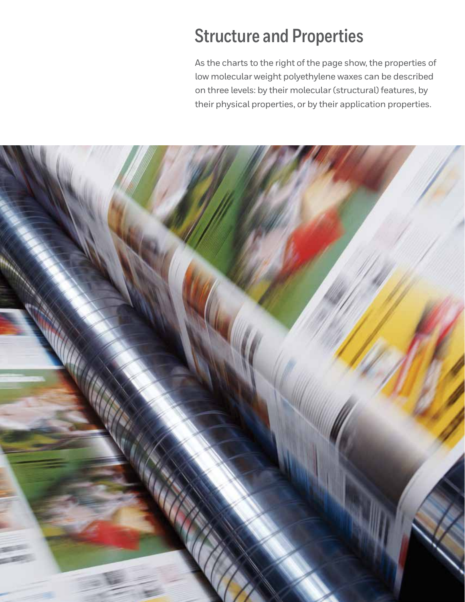## **Structure and Properties**

As the charts to the right of the page show, the properties of low molecular weight polyethylene waxes can be described on three levels: by their molecular (structural) features, by their physical properties, or by their application properties.

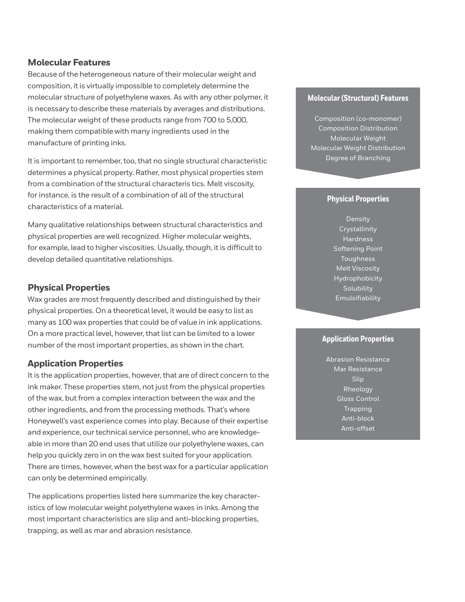### **Molecular Features**

Because of the heterogeneous nature of their molecular weight and composition, it is virtually impossible to completely determine the molecular structure of polyethylene waxes. As with any other polymer, it is necessary to describe these materials by averages and distributions. The molecular weight of these products range from 700 to 5,000, making them compatible with many ingredients used in the manufacture of printing inks.

It is important to remember, too, that no single structural characteristic determines a physical property. Rather, most physical properties stem from a combination of the structural characteris tics. Melt viscosity, for instance, is the result of a combination of all of the structural characteristics of a material.

Many qualitative relationships between structural characteristics and physical properties are well recognized. Higher molecular weights, for example, lead to higher viscosities. Usually, though, it is difficult to develop detailed quantitative relationships.

### **Physical Properties**

Wax grades are most frequently described and distinguished by their physical properties. On a theoretical level, it would be easy to list as many as 100 wax properties that could be of value in ink applications. On a more practical level, however, that list can be limited to a lower number of the most important properties, as shown in the chart.

### **Application Properties**

It is the application properties, however, that are of direct concern to the ink maker. These properties stem, not just from the physical properties of the wax, but from a complex interaction between the wax and the other ingredients, and from the processing methods. That's where Honeywell's vast experience comes into play. Because of their expertise and experience, our technical service personnel, who are knowledgeable in more than 20 end uses that utilize our polyethylene waxes, can help you quickly zero in on the wax best suited for your application. There are times, however, when the best wax for a particular application can only be determined empirically.

The applications properties listed here summarize the key characteristics of low molecular weight polyethylene waxes in inks. Among the most important characteristics are slip and anti-blocking properties, trapping, as well as mar and abrasion resistance.

#### **Molecular (Structural) Features**

Composition (co-monomer) Composition Distribution Molecular Weight Molecular Weight Distribution Degree of Branching

#### **Physical Properties**

Density Crystallinity Hardness Softening Point **Toughness** Melt Viscosity Hydrophobicity Solubility Emulsifiability

### **Application Properties**

Abrasion Resistance Mar Resistance Slip Rheology Gloss Control Trapping Anti-block Anti-offset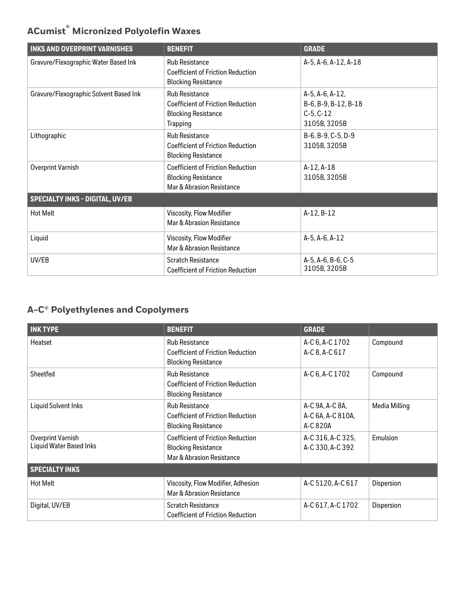### **ACumist® Micronized Polyolefin Waxes**

| <b>INKS AND OVERPRINT VARNISHES</b>    | <b>BENEFIT</b>                                                                                                     | <b>GRADE</b>                                                           |  |  |
|----------------------------------------|--------------------------------------------------------------------------------------------------------------------|------------------------------------------------------------------------|--|--|
| Gravure/Flexographic Water Based Ink   | <b>Rub Resistance</b><br><b>Coefficient of Friction Reduction</b><br><b>Blocking Resistance</b>                    | A-5, A-6, A-12, A-18                                                   |  |  |
| Gravure/Flexographic Solvent Based Ink | <b>Rub Resistance</b><br><b>Coefficient of Friction Reduction</b><br><b>Blocking Resistance</b><br><b>Trapping</b> | A-5, A-6, A-12,<br>B-6, B-9, B-12, B-18<br>$C-5, C-12$<br>3105B, 3205B |  |  |
| Lithographic                           | <b>Rub Resistance</b><br><b>Coefficient of Friction Reduction</b><br><b>Blocking Resistance</b>                    | B-6, B-9, C-5, D-9<br>3105B, 3205B                                     |  |  |
| Overprint Varnish                      | <b>Coefficient of Friction Reduction</b><br><b>Blocking Resistance</b><br>Mar & Abrasion Resistance                | $A-12, A-18$<br>3105B, 3205B                                           |  |  |
| <b>SPECIALTY INKS - DIGITAL, UV/EB</b> |                                                                                                                    |                                                                        |  |  |
| <b>Hot Melt</b>                        | Viscosity, Flow Modifier<br>Mar & Abrasion Resistance                                                              | $A-12, B-12$                                                           |  |  |
| Liquid                                 | Viscosity, Flow Modifier<br>Mar & Abrasion Resistance                                                              | $A-5, A-6, A-12$                                                       |  |  |
| UV/EB                                  | <b>Scratch Resistance</b><br><b>Coefficient of Friction Reduction</b>                                              | A-5, A-6, B-6, C-5<br>3105B, 3205B                                     |  |  |

### **A-C® Polyethylenes and Copolymers**

| <b>INK TYPE</b>                                     | <b>BENEFIT</b>                                                                                      | <b>GRADE</b>                                     |               |  |
|-----------------------------------------------------|-----------------------------------------------------------------------------------------------------|--------------------------------------------------|---------------|--|
| Heatset                                             | <b>Rub Resistance</b><br><b>Coefficient of Friction Reduction</b><br><b>Blocking Resistance</b>     | A-C 6, A-C 1702<br>A-C 8, A-C 617                | Compound      |  |
| Sheetfed                                            | <b>Rub Resistance</b><br><b>Coefficient of Friction Reduction</b><br><b>Blocking Resistance</b>     | A-C 6, A-C 1702                                  | Compound      |  |
| Liquid Solvent Inks                                 | <b>Rub Resistance</b><br><b>Coefficient of Friction Reduction</b><br><b>Blocking Resistance</b>     | A-C 9A, A-C 8A,<br>A-C 6A, A-C 810A,<br>A-C 820A | Media Milling |  |
| <b>Overprint Varnish</b><br>Liquid Water Based Inks | <b>Coefficient of Friction Reduction</b><br><b>Blocking Resistance</b><br>Mar & Abrasion Resistance | A-C 316, A-C 325,<br>A-C 330, A-C 392            | Emulsion      |  |
| <b>SPECIALTY INKS</b>                               |                                                                                                     |                                                  |               |  |
| <b>Hot Melt</b>                                     | Viscosity, Flow Modifier, Adhesion<br>Mar & Abrasion Resistance                                     | A-C 5120, A-C 617                                | Dispersion    |  |
| Digital, UV/EB                                      | <b>Scratch Resistance</b><br><b>Coefficient of Friction Reduction</b>                               | A-C 617, A-C 1702                                | Dispersion    |  |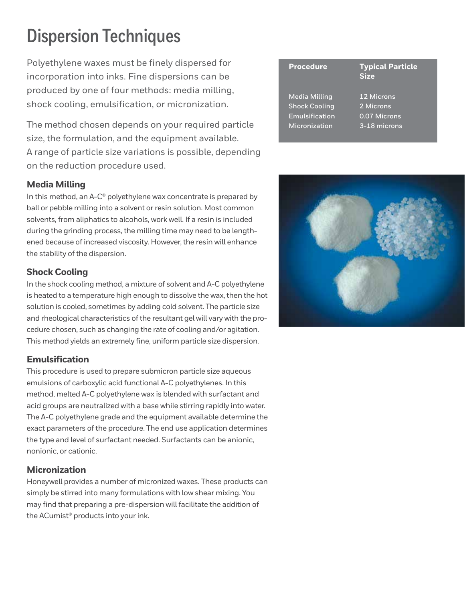# **Dispersion Techniques**

Polyethylene waxes must be finely dispersed for incorporation into inks. Fine dispersions can be produced by one of four methods: media milling, shock cooling, emulsification, or micronization.

The method chosen depends on your required particle size, the formulation, and the equipment available. A range of particle size variations is possible, depending on the reduction procedure used.

### **Media Milling**

In this method, an A-C<sup>®</sup> polyethylene wax concentrate is prepared by ball or pebble milling into a solvent or resin solution. Most common solvents, from aliphatics to alcohols, work well. If a resin is included during the grinding process, the milling time may need to be lengthened because of increased viscosity. However, the resin will enhance the stability of the dispersion.

### **Shock Cooling**

In the shock cooling method, a mixture of solvent and A-C polyethylene is heated to a temperature high enough to dissolve the wax, then the hot solution is cooled, sometimes by adding cold solvent. The particle size and rheological characteristics of the resultant gel will vary with the procedure chosen, such as changing the rate of cooling and/or agitation. This method yields an extremely fine, uniform particle size dispersion.

### **Emulsification**

This procedure is used to prepare submicron particle size aqueous emulsions of carboxylic acid functional A-C polyethylenes. In this method, melted A-C polyethylene wax is blended with surfactant and acid groups are neutralized with a base while stirring rapidly into water. The A-C polyethylene grade and the equipment available determine the exact parameters of the procedure. The end use application determines the type and level of surfactant needed. Surfactants can be anionic, nonionic, or cationic.

### **Micronization**

Honeywell provides a number of micronized waxes. These products can simply be stirred into many formulations with low shear mixing. You may find that preparing a pre-dispersion will facilitate the addition of the ACumist® products into your ink.

| <b>Procedure</b>     | <b>Typical Particle</b><br><b>Size</b> |
|----------------------|----------------------------------------|
| <b>Media Milling</b> | <b>12 Microns</b>                      |
| <b>Shock Cooling</b> | 2 Microns                              |
| Emulsification       | 0.07 Microns                           |
| Micronization        | 3-18 microns                           |

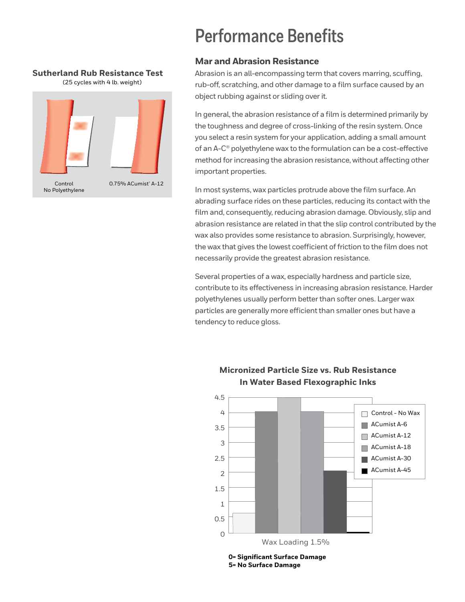## **Performance Benefits**

### **Sutherland Rub Resistance Test** (25 cycles with 4 lb. weight)



Control No Polyethylene

0.75% ACumist® A-12

### **Mar and Abrasion Resistance**

Abrasion is an all-encompassing term that covers marring, scuffing, rub-off, scratching, and other damage to a film surface caused by an object rubbing against or sliding over it.

In general, the abrasion resistance of a film is determined primarily by the toughness and degree of cross-linking of the resin system. Once you select a resin system for your application, adding a small amount of an A-C® polyethylene wax to the formulation can be a cost-effective method for increasing the abrasion resistance, without affecting other important properties.

In most systems, wax particles protrude above the film surface. An abrading surface rides on these particles, reducing its contact with the film and, consequently, reducing abrasion damage. Obviously, slip and abrasion resistance are related in that the slip control contributed by the wax also provides some resistance to abrasion. Surprisingly, however, the wax that gives the lowest coefficient of friction to the film does not necessarily provide the greatest abrasion resistance.

Several properties of a wax, especially hardness and particle size, contribute to its effectiveness in increasing abrasion resistance. Harder polyethylenes usually perform better than softer ones. Larger wax particles are generally more efficient than smaller ones but have a tendency to reduce gloss.



### **Micronized Particle Size vs. Rub Resistance In Water Based Flexographic Inks**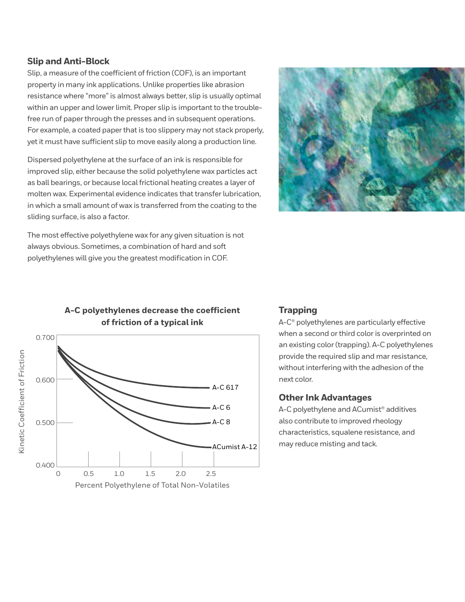### **Slip and Anti-Block**

Slip, a measure of the coefficient of friction (COF), is an important property in many ink applications. Unlike properties like abrasion resistance where "more" is almost always better, slip is usually optimal within an upper and lower limit. Proper slip is important to the troublefree run of paper through the presses and in subsequent operations. For example, a coated paper that is too slippery may not stack properly, yet it must have sufficient slip to move easily along a production line.

Dispersed polyethylene at the surface of an ink is responsible for improved slip, either because the solid polyethylene wax particles act as ball bearings, or because local frictional heating creates a layer of molten wax. Experimental evidence indicates that transfer lubrication, in which a small amount of wax is transferred from the coating to the sliding surface, is also a factor.

The most effective polyethylene wax for any given situation is not always obvious. Sometimes, a combination of hard and soft polyethylenes will give you the greatest modification in COF.





### **Trapping**

A-C® polyethylenes are particularly effective when a second or third color is overprinted on an existing color (trapping). A-C polyethylenes provide the required slip and mar resistance, without interfering with the adhesion of the next color.

### **Other Ink Advantages**

A-C polyethylene and ACumist® additives also contribute to improved rheology characteristics, squalene resistance, and may reduce misting and tack.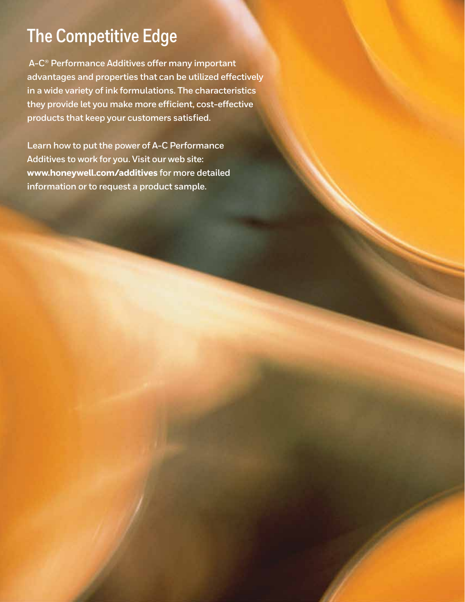## **The Competitive Edge**

 **A-C® Performance Additives offer many important advantages and properties that can be utilized effectively in a wide variety of ink formulations. The characteristics they provide let you make more efficient, cost-effective products that keep your customers satisfied.**

**Learn how to put the power of A-C Performance Additives to work for you. Visit our web site: [www.honeywell.com/additives](http://www.honeywell.com/additives) for more detailed information or to request a product sample.**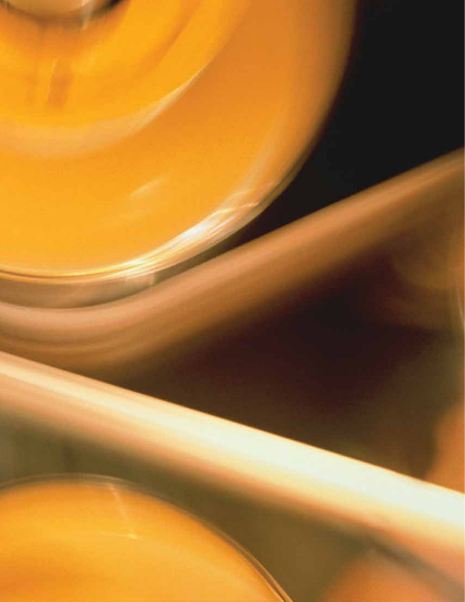